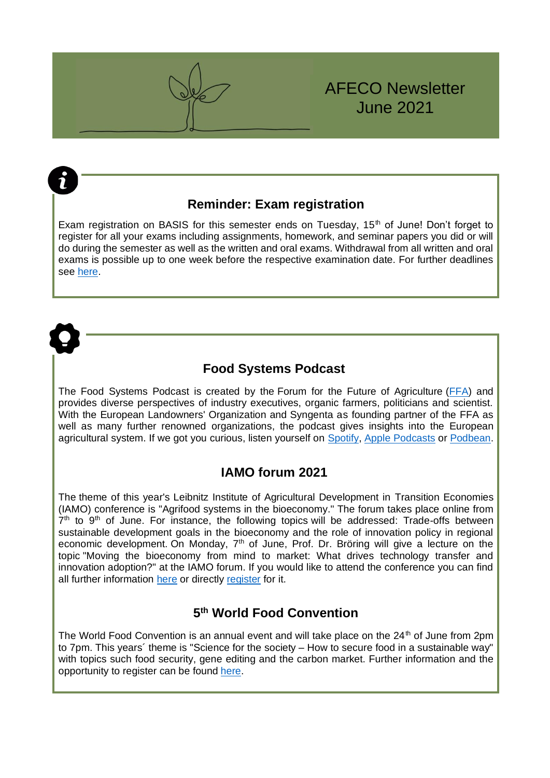

### **Reminder: Exam registration**

Exam registration on BASIS for this semester ends on Tuesday,  $15<sup>th</sup>$  of June! Don't forget to register for all your exams including assignments, homework, and seminar papers you did or will do during the semester as well as the written and oral exams. Withdrawal from all written and oral exams is possible up to one week before the respective examination date. For further deadlines see [here.](https://www.lf.uni-bonn.de/de/studium/downloads/pruefungsbuero/fristenplaene/fristen-sose-msc-afeco)



2

### **Food Systems Podcast**

The Food Systems Podcast is created by the Forum for the Future of Agriculture [\(FFA\)](https://www.forumforagriculture.com/) and provides diverse perspectives of industry executives, organic farmers, politicians and scientist. With the European Landowners' Organization and Syngenta as founding partner of the FFA as well as many further renowned organizations, the podcast gives insights into the European agricultural system. If we got you curious, listen yourself on [Spotify,](http://open.spotify.com/show/2Y9fyc7f2XCGRNWVRX4Ha1?si=8nM1bsVDTfSD9SB4OBCStg) [Apple Podcasts](https://podcasts.apple.com/gb/podcast/food-systems-ffa/id1522876328) or [Podbean.](https://forumforagriculture.podbean.com/)

#### **IAMO forum 2021**

The theme of this year's Leibnitz Institute of Agricultural Development in Transition Economies (IAMO) conference is "Agrifood systems in the bioeconomy." The forum takes place online from  $7<sup>th</sup>$  to  $9<sup>th</sup>$  of June. For instance, the following topics will be addressed: Trade-offs between sustainable development goals in the bioeconomy and the role of innovation policy in regional economic development. On Monday, 7<sup>th</sup> of June, Prof. Dr. Bröring will give a lecture on the topic "Moving the bioeconomy from mind to market: What drives technology transfer and innovation adoption?" at the IAMO forum. If you would like to attend the conference you can find all further information [here](https://forum2021.iamo.de/about-the-conference/) or directly [register](https://www.conftool.org/iamo2021/) for it.

#### **5 th World Food Convention**

The World Food Convention is an annual event and will take place on the  $24<sup>th</sup>$  of June from 2pm to 7pm. This years´ theme is "Science for the society – How to secure food in a sustainable way" with topics such food security, gene editing and the carbon market. Further information and the opportunity to register can be found [here.](https://dialog.tagesspiegel.de/worldfoodconvention/)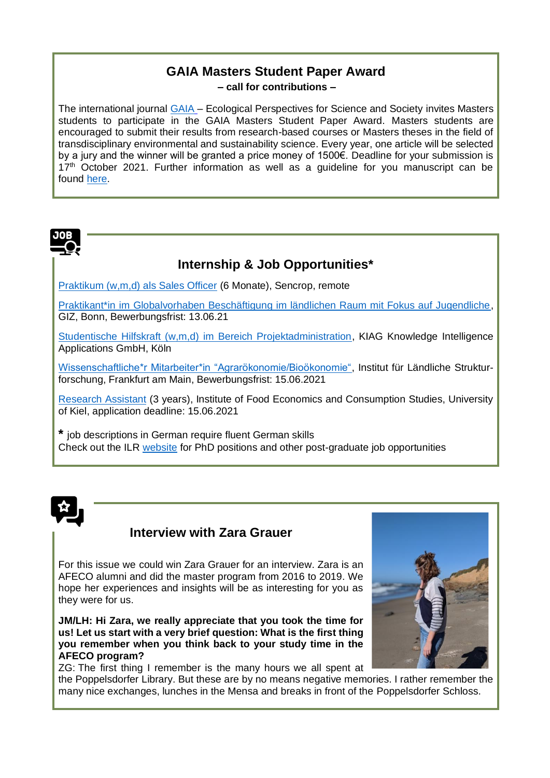# **GAIA Masters Student Paper Award**

**– call for contributions –**

The international journal [GAIA](https://www.oekom.de/zeitschrift/gaia-2) – Ecological Perspectives for Science and Society invites Masters students to participate in the GAIA Masters Student Paper Award. Masters students are encouraged to submit their results from research-based courses or Masters theses in the field of transdisciplinary environmental and sustainability science. Every year, one article will be selected by a jury and the winner will be granted a price money of 1500€. Deadline for your submission is  $17<sup>th</sup>$  October 2021. Further information as well as a quideline for you manuscript can be found [here.](https://www.oekom.de/publikationen/zeitschriften/gaia/c-131)



# **Internship & Job Opportunities\***

[Praktikum \(w,m,d\) als Sales Officer](https://jobs.sencrop.com/jobs/1186837-sales-officer-german-fluent-w-m-internship-in-germany) (6 Monate), Sencrop, remote

[Praktikant\\*in im Globalvorhaben Beschäftigung im ländlichen Raum mit Fokus auf Jugendliche,](https://jobs.giz.de/index.php?ac=jobad&id=55477) GIZ, Bonn, Bewerbungsfrist: 13.06.21

[Studentische Hilfskraft \(w,m,d\) im Bereich Projektadministration,](https://www.stellenwerk-bonn-rhein-sieg.de/jobboerse/studentische-hilfskraefte-mwd-im-bereich-projektadministration-koeln-210521-469274) KIAG Knowledge Intelligence Applications GmbH, Köln

[Wissenschaftliche\\*r Mitarbeiter\\*in "Agrarökonomie/Bioökonomie",](https://www.ifls.de/ueber-uns/jobs/) Institut für Ländliche Strukturforschung, Frankfurt am Main, Bewerbungsfrist: 15.06.2021

[Research Assistant](https://www.ilr1.uni-bonn.de/de/jobs/stellenausschreibung-phd-05.2021.pdf) (3 years), Institute of Food Economics and Consumption Studies, University of Kiel, application deadline: 15.06.2021

**\*** job descriptions in German require fluent German skills Check out the ILR [website](https://www.ilr1.uni-bonn.de/de/jobs) for PhD positions and other post-graduate job opportunities



## **Interview with Zara Grauer**

For this issue we could win Zara Grauer for an interview. Zara is an AFECO alumni and did the master program from 2016 to 2019. We hope her experiences and insights will be as interesting for you as they were for us.

**JM/LH: Hi Zara, we really appreciate that you took the time for us! Let us start with a very brief question: What is the first thing you remember when you think back to your study time in the AFECO program?**

ZG: The first thing I remember is the many hours we all spent at

the Poppelsdorfer Library. But these are by no means negative memories. I rather remember the many nice exchanges, lunches in the Mensa and breaks in front of the Poppelsdorfer Schloss.